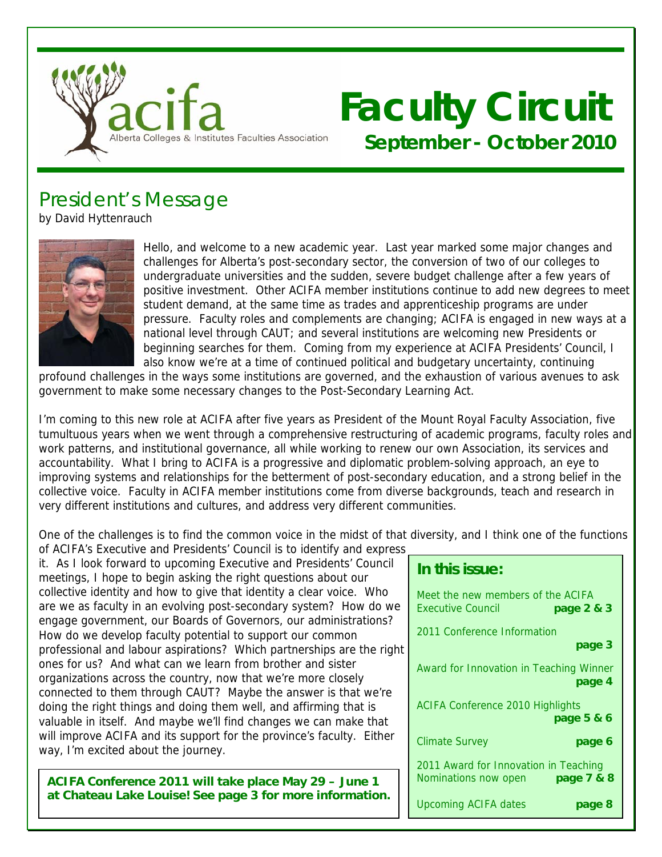

# **Faculty Circuit September - October 2010**

# President's Message

by David Hyttenrauch



Hello, and welcome to a new academic year. Last year marked some major changes and challenges for Alberta's post-secondary sector, the conversion of two of our colleges to undergraduate universities and the sudden, severe budget challenge after a few years of positive investment. Other ACIFA member institutions continue to add new degrees to meet student demand, at the same time as trades and apprenticeship programs are under pressure. Faculty roles and complements are changing; ACIFA is engaged in new ways at a national level through CAUT; and several institutions are welcoming new Presidents or beginning searches for them. Coming from my experience at ACIFA Presidents' Council, I also know we're at a time of continued political and budgetary uncertainty, continuing

profound challenges in the ways some institutions are governed, and the exhaustion of various avenues to ask government to make some necessary changes to the Post-Secondary Learning Act.

I'm coming to this new role at ACIFA after five years as President of the Mount Royal Faculty Association, five tumultuous years when we went through a comprehensive restructuring of academic programs, faculty roles and work patterns, and institutional governance, all while working to renew our own Association, its services and accountability. What I bring to ACIFA is a progressive and diplomatic problem-solving approach, an eye to improving systems and relationships for the betterment of post-secondary education, and a strong belief in the collective voice. Faculty in ACIFA member institutions come from diverse backgrounds, teach and research in very different institutions and cultures, and address very different communities.

One of the challenges is to find the common voice in the midst of that diversity, and I think one of the functions of ACIFA's Executive and Presidents' Council is to identify and express

it. As I look forward to upcoming Executive and Presidents' Council meetings, I hope to begin asking the right questions about our collective identity and how to give that identity a clear voice. Who are we as faculty in an evolving post-secondary system? How do we engage government, our Boards of Governors, our administrations? How do we develop faculty potential to support our common professional and labour aspirations? Which partnerships are the right ones for us? And what can we learn from brother and sister organizations across the country, now that we're more closely connected to them through CAUT? Maybe the answer is that we're doing the right things and doing them well, and affirming that is valuable in itself. And maybe we'll find changes we can make that will improve ACIFA and its support for the province's faculty. Either way, I'm excited about the journey.

**ACIFA Conference 2011 will take place May 29 – June 1 at Chateau Lake Louise! See page 3 for more information.**

### **In this issue:**

| Meet the new members of the ACIFA<br><b>Executive Council</b><br>page 2 & 3 |
|-----------------------------------------------------------------------------|
| 2011 Conference Information<br>page 3                                       |
| Award for Innovation in Teaching Winner<br>page 4                           |
| <b>ACIFA Conference 2010 Highlights</b><br>page 5 & 6                       |
| Climate Survey<br>page 6                                                    |
| 2011 Award for Innovation in Teaching<br>page 7 & 8<br>Nominations now open |
| <b>Upcoming ACIFA dates</b><br>page 8                                       |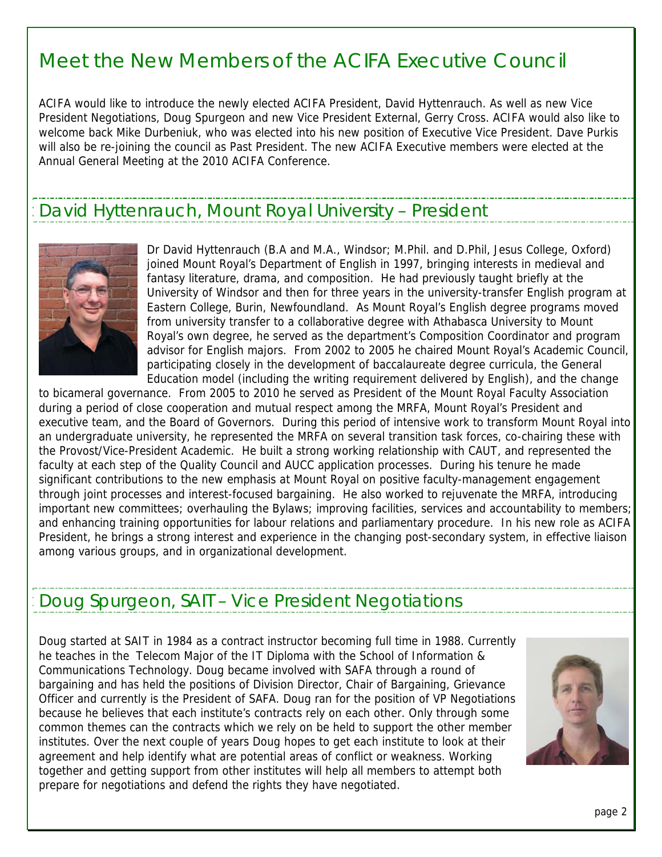### Meet the New Members of the ACIFA Executive Council

ACIFA would like to introduce the newly elected ACIFA President, David Hyttenrauch. As well as new Vice President Negotiations, Doug Spurgeon and new Vice President External, Gerry Cross. ACIFA would also like to welcome back Mike Durbeniuk, who was elected into his new position of Executive Vice President. Dave Purkis will also be re-joining the council as Past President. The new ACIFA Executive members were elected at the Annual General Meeting at the 2010 ACIFA Conference.

### David Hyttenrauch, Mount Royal University – President



Dr David Hyttenrauch (B.A and M.A., Windsor; M.Phil. and D.Phil, Jesus College, Oxford) joined Mount Royal's Department of English in 1997, bringing interests in medieval and fantasy literature, drama, and composition. He had previously taught briefly at the University of Windsor and then for three years in the university-transfer English program at Eastern College, Burin, Newfoundland. As Mount Royal's English degree programs moved from university transfer to a collaborative degree with Athabasca University to Mount Royal's own degree, he served as the department's Composition Coordinator and program advisor for English majors. From 2002 to 2005 he chaired Mount Royal's Academic C ouncil, participating closely in the development of baccalaureate degree curricula, the General Education model (including the writing requirement delivered by English), and the change

to bicameral governance. From 2005 to 2010 he served as President of the Mount Royal Faculty Association during a period of close cooperation and mutual respect among the MRFA, Mount Royal's President and executive team, and the Board of Governors. During this period of intensive work to transform Mount Royal into an undergraduate university, he represented the MRFA on several transition task forces, co-chairing these with the Provost/Vice-President Academic. He built a strong working relationship with CAUT, and represented the faculty at each step of the Quality Council and AUCC application processes. During his tenure he made significant contributions to the new emphasis at Mount Royal on positive faculty-management engagement through joint processes and interest-focused bargaining. He also worked to rejuvenate the MRFA, introducing important new committees; overhauling the Bylaws; improving facilities, services and accountability to members; and enhancing training opportunities for labour relations and parliamentary procedure. In his new role as ACIFA President, he brings a strong interest and experience in the changing post-secondary system, in effective liaison among various groups, and in organizational development.

### Doug Spurgeon, SAIT – Vice President Negotiations

Doug started at SAIT in 1984 as a contract instructor becoming full time in 1988. Currently he teaches in the Telecom Major of the IT Diploma with the School of Information & Communications Technology. Doug became involved with SAFA through a round of bargaining and has held the positions of Division Director, Chair of Bargaining, Grievance Officer and currently is the President of SAFA. Doug ran for the position of VP Negotiations because he believes that each institute's contracts rely on each other. Only through some common themes can the contracts which we rely on be held to support the other member institutes. Over the next couple of years Doug hopes to get each institute to look at their agreement and help identify what are potential areas of conflict or weakness. Working together and getting support from other institutes will help all members to attempt both prepare for negotiations and defend the rights they have negotiated.

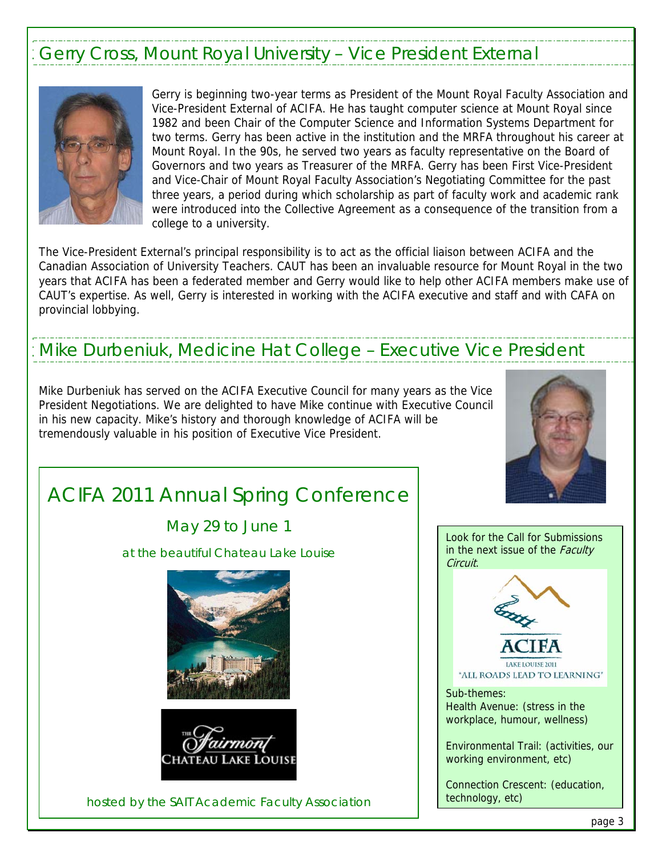### Gerry Cross, Mount Royal University – Vice President External



I I

Gerry is beginning two-year terms as President of the Mount Royal Faculty Association and Vice-President External of ACIFA. He has taught computer science at Mount Royal since 1982 and been Chair of the Computer Science and Information Systems Department for two terms. Gerry has been active in the institution and the MRFA throughout his career at Mount Royal. In the 90s, he served two years as faculty representative on the Board of Governors and two years as Treasurer of the MRFA. Gerry has been First Vice-President and Vice-Chair of Mount Royal Faculty Association's Negotiating Committee for the past three years, a period during which scholarship as part of faculty work and academic rank were introduced into the Collective Agreement as a consequence of the transition from a college to a university.

The Vice-President External's principal responsibility is to act as the official liaison between ACIFA and the Canadian Association of University Teachers. CAUT has been an invaluable resource for Mount Royal in the two years that ACIFA has been a federated member and Gerry would like to help other ACIFA members make use of CAUT's expertise. As well, Gerry is interested in working with the ACIFA executive and staff and with CAFA on provincial lobbying.

### Mike Durbeniuk, Medicine Hat College – Executive Vice President

Mike Durbeniuk has served on the ACIFA Executive Council for many years as the Vice President Negotiations. We are delighted to have Mike continue with Executive Council in his new capacity. Mike's history and thorough knowledge of ACIFA will be tremendously valuable in his position of Executive Vice President.



# ACIFA 2011 Annual Spring Conference

May 29 to June 1

at the beautiful Chateau Lake Louise





hosted by the SAIT Academic Faculty Association

Look for the Call for Submissions in the next issue of the Faculty Circuit.



LAKE LOUISE 2011 "ALL ROADS LEAD TO LEARNING"

Sub-themes: Health Avenue: (stress in the workplace, humour, wellness)

Environmental Trail: (activities, our working environment, etc)

Connection Crescent: (education, technology, etc)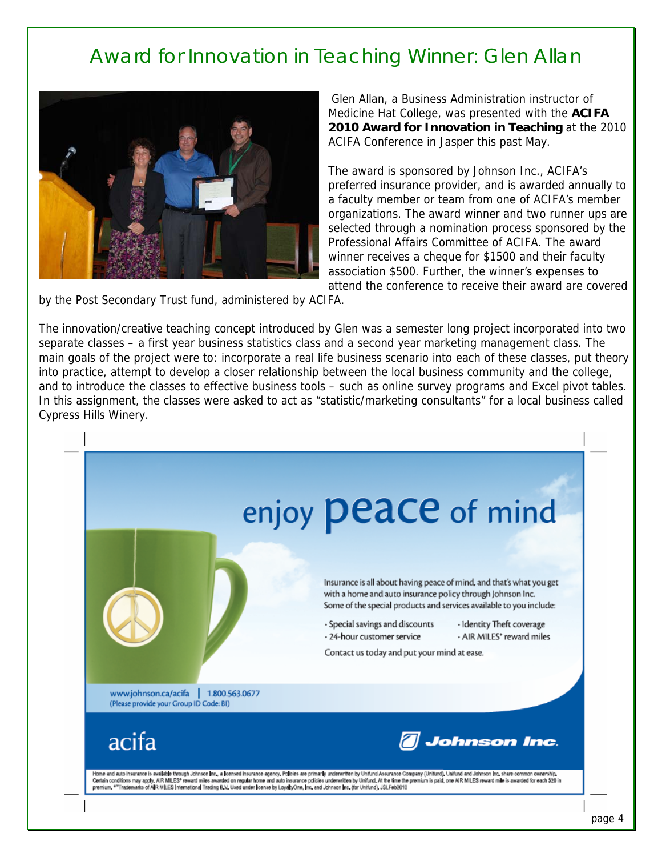## Award for Innovation in Teaching Winner: Glen Allan



Glen Allan, a Business Administration instructor of Medicine Hat College, was presented with the **ACIFA 2010 Award for Innovation in Teaching** at the 2010 ACIFA Conference in Jasper this past May.

The award is sponsored by Johnson Inc., ACIFA's preferred insurance provider, and is awarded annually to a faculty member or team from one of ACIFA's member organizations. The award winner and two runner ups are selected through a nomination process sponsored by the Professional Affairs Committee of ACIFA. The award winner receives a cheque for \$1500 and their faculty association \$500. Further, the winner's expenses to attend the conference to receive their award are covered

by the Post Secondary Trust fund, administered by ACIFA.

The innovation/creative teaching concept introduced by Glen was a semester long project incorporated into two separate classes – a first year business statistics class and a second year marketing management class. The main goals of the project were to: incorporate a real life business scenario into each of these classes, put theory into practice, attempt to develop a closer relationship between the local business community and the college, and to introduce the classes to effective business tools – such as online survey programs and Excel pivot tables. In this assignment, the classes were asked to act as "statistic/marketing consultants" for a local business called Cypress Hills Winery.

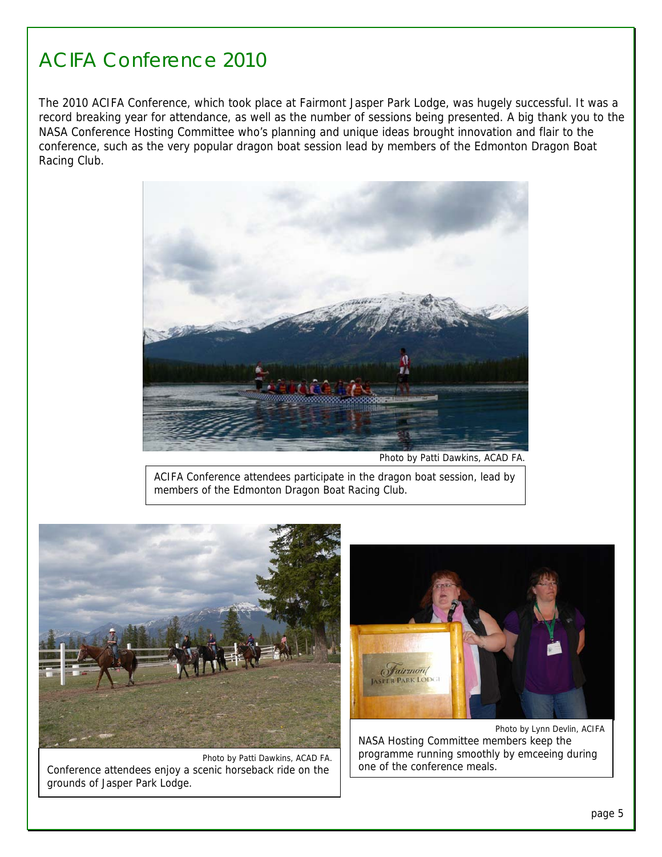### ACIFA Conference 2010

The 2010 ACIFA Conference, which took place at Fairmont Jasper Park Lodge, was hugely successful. It was a record breaking year for attendance, as well as the number of sessions being presented. A big thank you to the NASA Conference Hosting Committee who's planning and unique ideas brought innovation and flair to the conference, such as the very popular dragon boat session lead by members of the Edmonton Dragon Boat Racing Club.



Photo by Patti Dawkins, ACAD FA.

ACIFA Conference attendees participate in the dragon boat session, lead by ACIFA Conference attendees participate in the dragon boat session, lead by members of the Edmonton Dragon Boat Racing Club. members of the Edmonton Dragon Boat Racing Club.



Ī

Photo by Patti Dawkins, ACAD FA. Conference attendees enjoy a scenic horseback ride on the grounds of Jasper Park Lodge.



Photo by Lynn Devlin, ACIFA NASA Hosting Committee members keep the programme running smoothly by emceeing during one of the conference meals.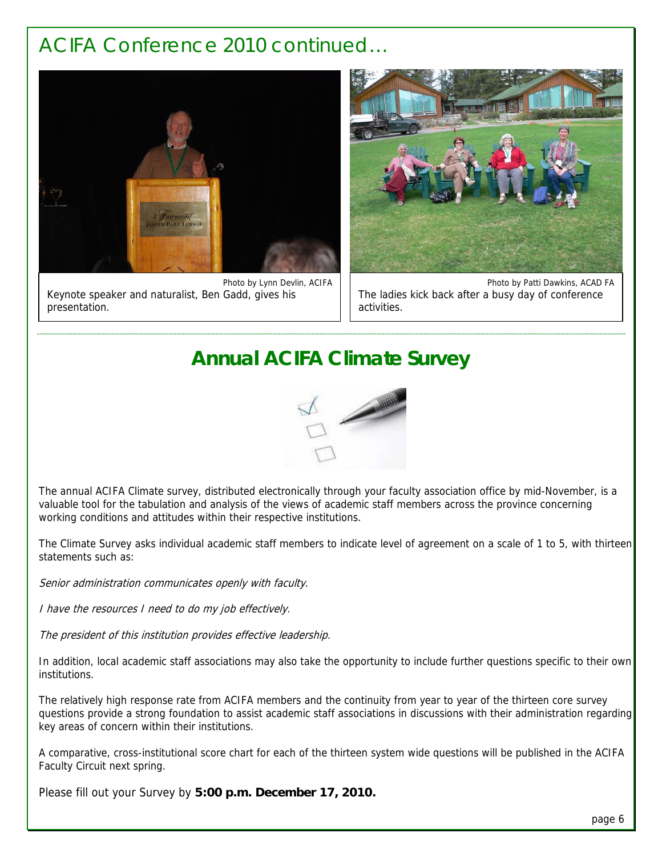### ACIFA Conference 2010 continued…

1



Photo by Lynn Devlin, ACIFA Keynote speaker and naturalist, Ben Gadd, gives his presentation.



Photo by Patti Dawkins, ACAD FA The ladies kick back after a busy day of conference activities.

### **Annual ACIFA Climate Survey**



The annual ACIFA Climate survey, distributed electronically through your faculty association office by mid-November, is a valuable tool for the tabulation and analysis of the views of academic staff members across the province concerning working conditions and attitudes within their respective institutions.

The Climate Survey asks individual academic staff members to indicate level of agreement on a scale of 1 to 5, with thirteen statements such as:

Senior administration communicates openly with faculty.

I have the resources I need to do my job effectively.

The president of this institution provides effective leadership.

In addition, local academic staff associations may also take the opportunity to include further questions specific to their own institutions.

The relatively high response rate from ACIFA members and the continuity from year to year of the thirteen core survey questions provide a strong foundation to assist academic staff associations in discussions with their administration regarding key areas of concern within their institutions.

A comparative, cross-institutional score chart for each of the thirteen system wide questions will be published in the ACIFA Faculty Circuit next spring.

Please fill out your Survey by **5:00 p.m. December 17, 2010.**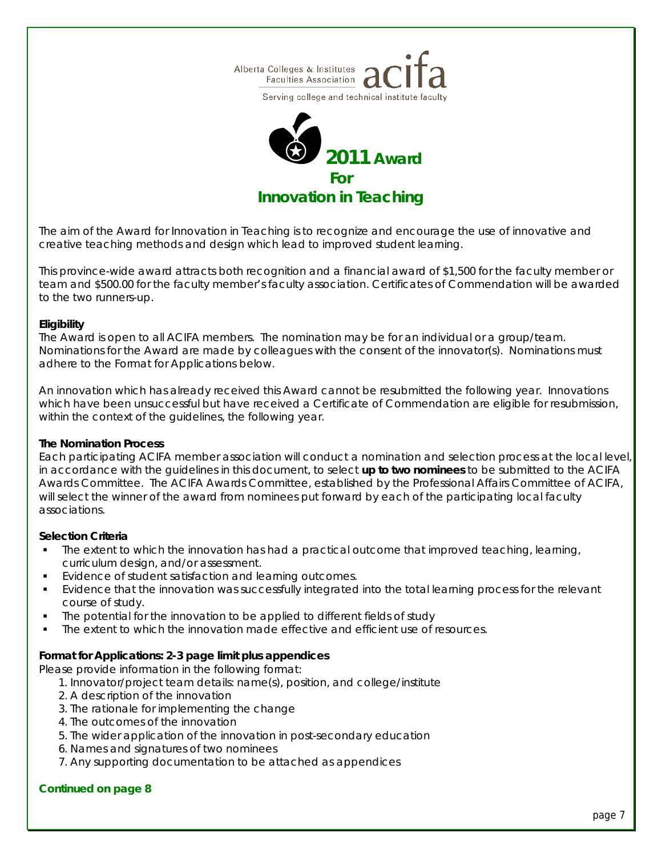





*The aim of the Award for Innovation in Teaching is to recognize and encourage the use of innovative and creative teaching methods and design which lead to improved student learning.* 

*This province-wide award attracts both recognition and a financial award of \$1,500 for the faculty member or team and \$500.00 for the faculty member's faculty association. Certificates of Commendation will be awarded to the two runners-up.* 

#### **Eligibility**

The Award is open to all ACIFA members. The nomination may be for an individual or a group/team. Nominations for the Award are made by colleagues with the consent of the innovator(s). Nominations must adhere to the *Format for Applications* below.

An innovation which has already received this Award cannot be resubmitted the following year. Innovations which have been unsuccessful but have received a Certificate of Commendation are eligible for resubmission, within the context of the guidelines, the following year.

#### **The Nomination Process**

Each participating ACIFA member association will conduct a nomination and selection process at the local level, in accordance with the guidelines in this document, to select **up to two nominees** to be submitted to the ACIFA Awards Committee. The ACIFA Awards Committee, established by the Professional Affairs Committee of ACIFA, will select the winner of the award from nominees put forward by each of the participating local faculty associations.

#### **Selection Criteria**

- The extent to which the innovation has had a practical outcome that improved teaching, learning, curriculum design, and/or assessment.
- Evidence of student satisfaction and learning outcomes.
- Evidence that the innovation was successfully integrated into the total learning process for the relevant course of study.
- The potential for the innovation to be applied to different fields of study
- The extent to which the innovation made effective and efficient use of resources.

#### **Format for Applications: 2-3 page limit plus appendices**

Please provide information in the following format:

- 1. Innovator/project team details: name(s), position, and college/institute
- 2. A description of the innovation
- 3. The rationale for implementing the change
- 4. The outcomes of the innovation
- 5. The wider application of the innovation in post-secondary education
- 6. Names and signatures of two nominees
- 7. Any supporting documentation to be attached as appendices

#### **Continued on page 8**